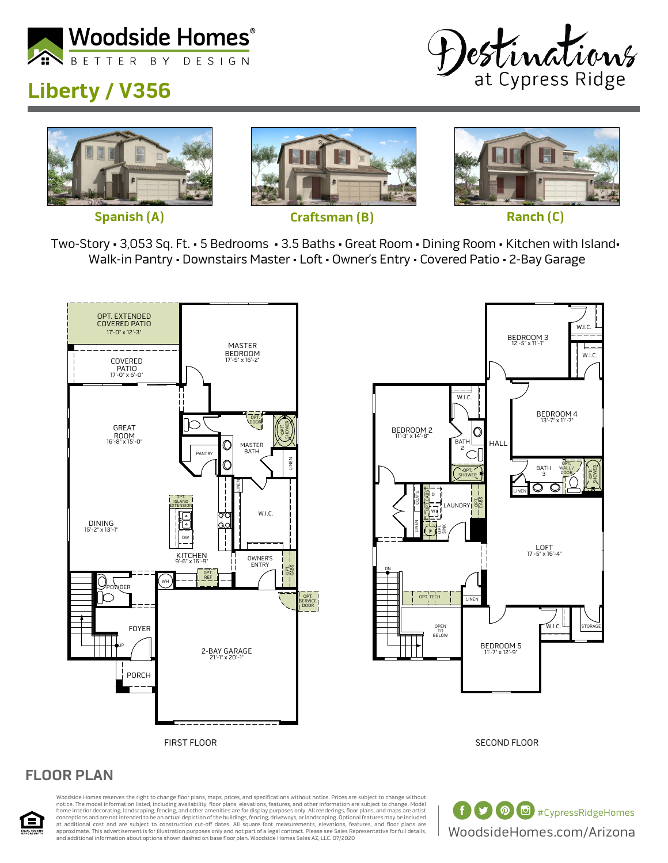

## **Liberty / V356**









Two-Story • 3,053 Sq. Ft. • 5 Bedrooms • 3.5 Baths • Great Room • Dining Room • Kitchen with Island• Walk-in Pantry • Downstairs Master • Loft • Owner's Entry • Covered Patio • 2-Bay Garage





SECOND FLOOR

## **FLOOR PLAN**



Woodside Homes reserves the right to change floor plans, maps, prices, and specifications without notice. Prices are subject to change without notice. The model information listed, including availability, floor plans, elevations, features, and other information are subject to change. Model<br>home interior decorating, landscaping, fencing, and other amenities are fo at additional cost and are subject to construction cut-off dates. All square foot measurements, elevations, features, and floor plans are<br>approximate. This advertisement is for illustration purposes only and not part of a